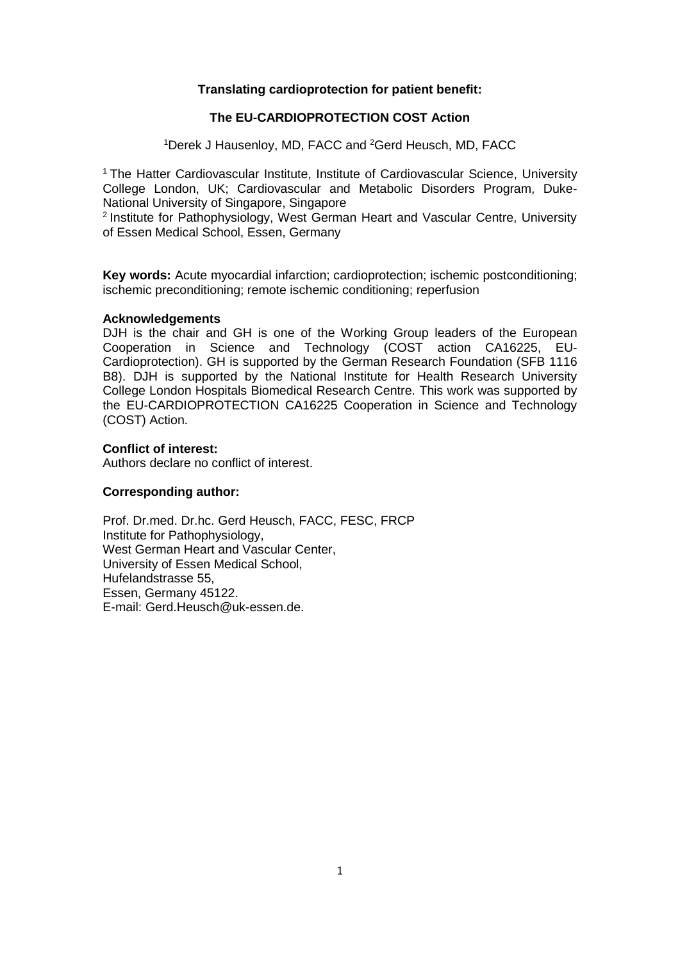## **Translating cardioprotection for patient benefit:**

## **The EU-CARDIOPROTECTION COST Action**

<sup>1</sup>Derek J Hausenloy, MD, FACC and <sup>2</sup>Gerd Heusch, MD, FACC

<sup>1</sup> The Hatter Cardiovascular Institute, Institute of Cardiovascular Science, University College London, UK; Cardiovascular and Metabolic Disorders Program, Duke-National University of Singapore, Singapore

<sup>2</sup> Institute for Pathophysiology, West German Heart and Vascular Centre, University of Essen Medical School, Essen, Germany

**Key words:** Acute myocardial infarction; cardioprotection; ischemic postconditioning; ischemic preconditioning; remote ischemic conditioning; reperfusion

#### **Acknowledgements**

DJH is the chair and GH is one of the Working Group leaders of the European Cooperation in Science and Technology (COST action CA16225, EU-Cardioprotection). GH is supported by the German Research Foundation (SFB 1116 B8). DJH is supported by the National Institute for Health Research University College London Hospitals Biomedical Research Centre. This work was supported by the EU-CARDIOPROTECTION CA16225 Cooperation in Science and Technology (COST) Action.

## **Conflict of interest:**

Authors declare no conflict of interest.

## **Corresponding author:**

Prof. Dr.med. Dr.hc. Gerd Heusch, FACC, FESC, FRCP Institute for Pathophysiology, West German Heart and Vascular Center, University of Essen Medical School, Hufelandstrasse 55, Essen, Germany 45122. E-mail: Gerd.Heusch@uk-essen.de.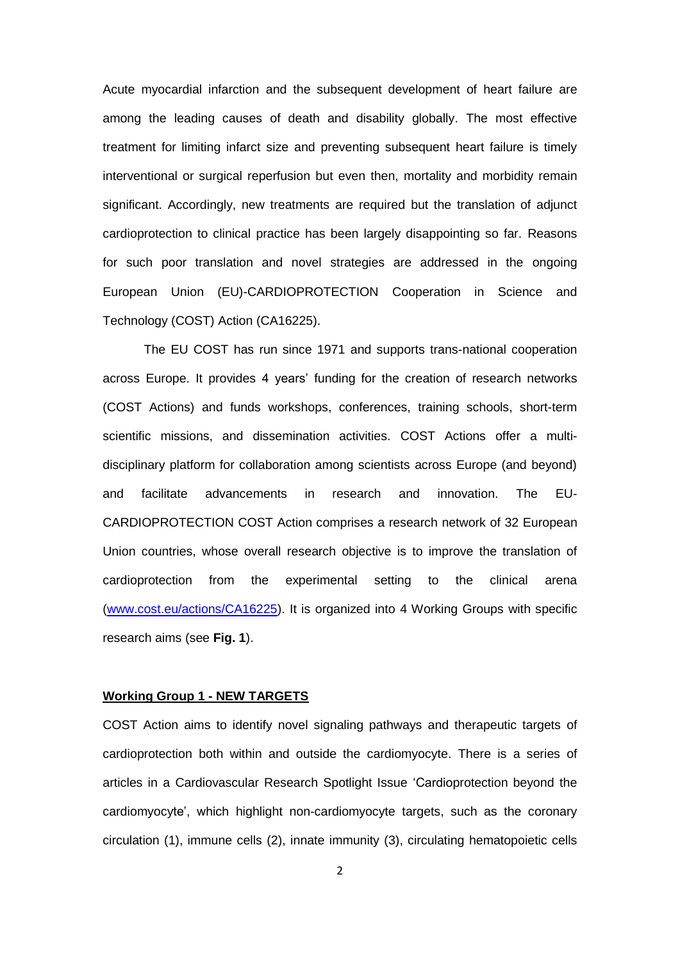Acute myocardial infarction and the subsequent development of heart failure are among the leading causes of death and disability globally. The most effective treatment for limiting infarct size and preventing subsequent heart failure is timely interventional or surgical reperfusion but even then, mortality and morbidity remain significant. Accordingly, new treatments are required but the translation of adjunct cardioprotection to clinical practice has been largely disappointing so far. Reasons for such poor translation and novel strategies are addressed in the ongoing European Union (EU)-CARDIOPROTECTION Cooperation in Science and Technology (COST) Action (CA16225).

The EU COST has run since 1971 and supports trans-national cooperation across Europe. It provides 4 years' funding for the creation of research networks (COST Actions) and funds workshops, conferences, training schools, short-term scientific missions, and dissemination activities. COST Actions offer a multidisciplinary platform for collaboration among scientists across Europe (and beyond) and facilitate advancements in research and innovation. The EU-CARDIOPROTECTION COST Action comprises a research network of 32 European Union countries, whose overall research objective is to improve the translation of cardioprotection from the experimental setting to the clinical arena [\(www.cost.eu/actions/CA16225\)](http://www.cost.eu/actions/CA16225). It is organized into 4 Working Groups with specific research aims (see **Fig. 1**).

## **Working Group 1 - NEW TARGETS**

COST Action aims to identify novel signaling pathways and therapeutic targets of cardioprotection both within and outside the cardiomyocyte. There is a series of articles in a Cardiovascular Research Spotlight Issue 'Cardioprotection beyond the cardiomyocyte', which highlight non-cardiomyocyte targets, such as the coronary circulation (1), immune cells (2), innate immunity (3), circulating hematopoietic cells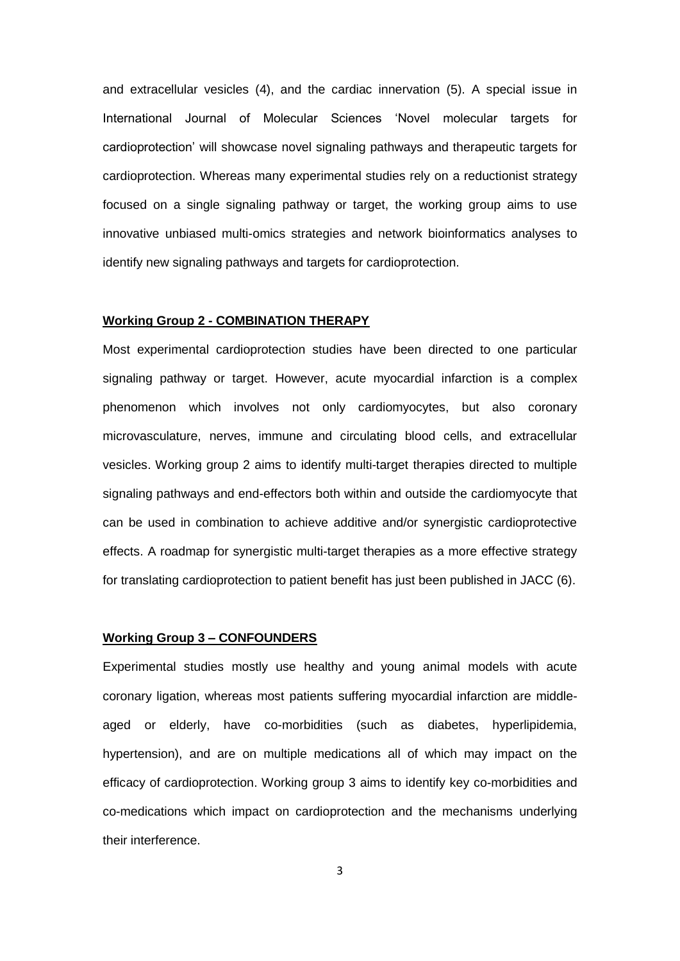and extracellular vesicles (4), and the cardiac innervation (5). A special issue in International Journal of Molecular Sciences 'Novel molecular targets for cardioprotection' will showcase novel signaling pathways and therapeutic targets for cardioprotection. Whereas many experimental studies rely on a reductionist strategy focused on a single signaling pathway or target, the working group aims to use innovative unbiased multi-omics strategies and network bioinformatics analyses to identify new signaling pathways and targets for cardioprotection.

#### **Working Group 2 - COMBINATION THERAPY**

Most experimental cardioprotection studies have been directed to one particular signaling pathway or target. However, acute myocardial infarction is a complex phenomenon which involves not only cardiomyocytes, but also coronary microvasculature, nerves, immune and circulating blood cells, and extracellular vesicles. Working group 2 aims to identify multi-target therapies directed to multiple signaling pathways and end-effectors both within and outside the cardiomyocyte that can be used in combination to achieve additive and/or synergistic cardioprotective effects. A roadmap for synergistic multi-target therapies as a more effective strategy for translating cardioprotection to patient benefit has just been published in JACC (6).

#### **Working Group 3 – CONFOUNDERS**

Experimental studies mostly use healthy and young animal models with acute coronary ligation, whereas most patients suffering myocardial infarction are middleaged or elderly, have co-morbidities (such as diabetes, hyperlipidemia, hypertension), and are on multiple medications all of which may impact on the efficacy of cardioprotection. Working group 3 aims to identify key co-morbidities and co-medications which impact on cardioprotection and the mechanisms underlying their interference.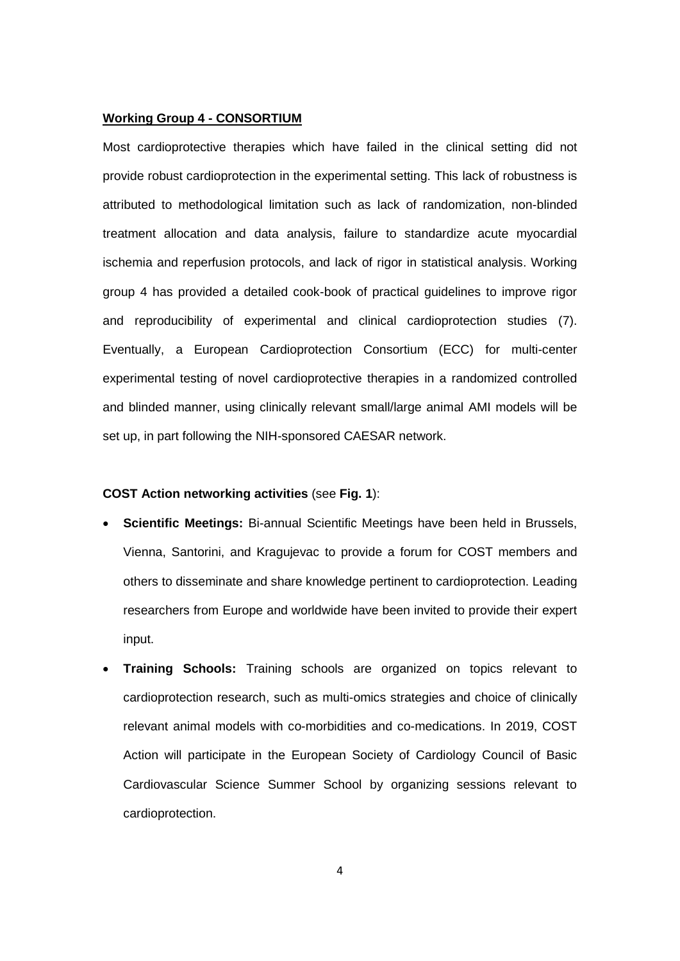#### **Working Group 4 - CONSORTIUM**

Most cardioprotective therapies which have failed in the clinical setting did not provide robust cardioprotection in the experimental setting. This lack of robustness is attributed to methodological limitation such as lack of randomization, non-blinded treatment allocation and data analysis, failure to standardize acute myocardial ischemia and reperfusion protocols, and lack of rigor in statistical analysis. Working group 4 has provided a detailed cook-book of practical guidelines to improve rigor and reproducibility of experimental and clinical cardioprotection studies (7). Eventually, a European Cardioprotection Consortium (ECC) for multi-center experimental testing of novel cardioprotective therapies in a randomized controlled and blinded manner, using clinically relevant small/large animal AMI models will be set up, in part following the NIH-sponsored CAESAR network.

#### **COST Action networking activities** (see **Fig. 1**):

- **Scientific Meetings:** Bi-annual Scientific Meetings have been held in Brussels, Vienna, Santorini, and Kragujevac to provide a forum for COST members and others to disseminate and share knowledge pertinent to cardioprotection. Leading researchers from Europe and worldwide have been invited to provide their expert input.
- **Training Schools:** Training schools are organized on topics relevant to cardioprotection research, such as multi-omics strategies and choice of clinically relevant animal models with co-morbidities and co-medications. In 2019, COST Action will participate in the European Society of Cardiology Council of Basic Cardiovascular Science Summer School by organizing sessions relevant to cardioprotection.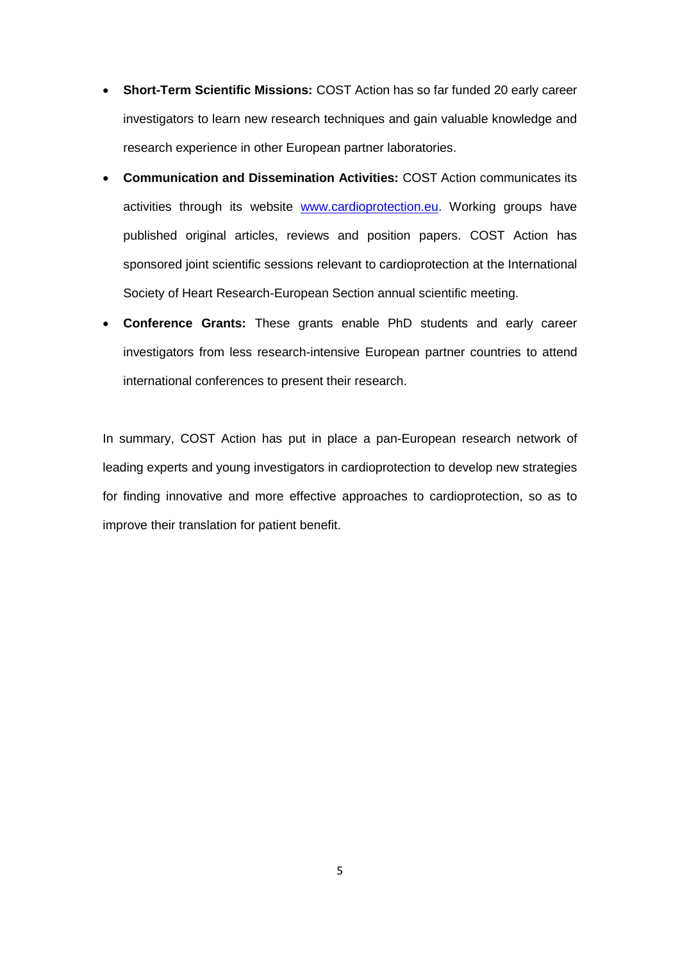- **Short-Term Scientific Missions:** COST Action has so far funded 20 early career investigators to learn new research techniques and gain valuable knowledge and research experience in other European partner laboratories.
- **Communication and Dissemination Activities:** COST Action communicates its activities through its website [www.cardioprotection.eu.](http://www.cardioprotection.eu/) Working groups have published original articles, reviews and position papers. COST Action has sponsored joint scientific sessions relevant to cardioprotection at the International Society of Heart Research-European Section annual scientific meeting.
- **Conference Grants:** These grants enable PhD students and early career investigators from less research-intensive European partner countries to attend international conferences to present their research.

In summary, COST Action has put in place a pan-European research network of leading experts and young investigators in cardioprotection to develop new strategies for finding innovative and more effective approaches to cardioprotection, so as to improve their translation for patient benefit.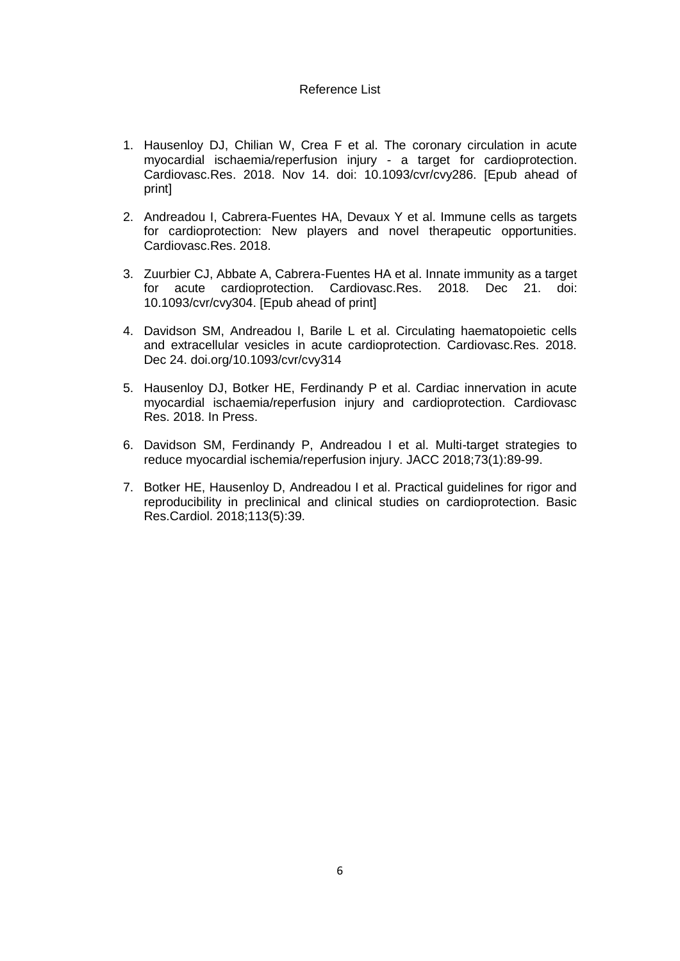#### Reference List

- 1. Hausenloy DJ, Chilian W, Crea F et al. The coronary circulation in acute myocardial ischaemia/reperfusion injury - a target for cardioprotection. Cardiovasc.Res. 2018. Nov 14. doi: 10.1093/cvr/cvy286. [Epub ahead of print]
- 2. Andreadou I, Cabrera-Fuentes HA, Devaux Y et al. Immune cells as targets for cardioprotection: New players and novel therapeutic opportunities. Cardiovasc.Res. 2018.
- 3. Zuurbier CJ, Abbate A, Cabrera-Fuentes HA et al. Innate immunity as a target for acute cardioprotection. Cardiovasc.Res. 2018. Dec 21. doi: 10.1093/cvr/cvy304. [Epub ahead of print]
- 4. Davidson SM, Andreadou I, Barile L et al. Circulating haematopoietic cells and extracellular vesicles in acute cardioprotection. Cardiovasc.Res. 2018. Dec 24. doi.org/10.1093/cvr/cvy314
- 5. Hausenloy DJ, Botker HE, Ferdinandy P et al. Cardiac innervation in acute myocardial ischaemia/reperfusion injury and cardioprotection. Cardiovasc Res. 2018. In Press.
- 6. Davidson SM, Ferdinandy P, Andreadou I et al. Multi-target strategies to reduce myocardial ischemia/reperfusion injury. JACC 2018;73(1):89-99.
- 7. Botker HE, Hausenloy D, Andreadou I et al. Practical guidelines for rigor and reproducibility in preclinical and clinical studies on cardioprotection. Basic Res.Cardiol. 2018;113(5):39.